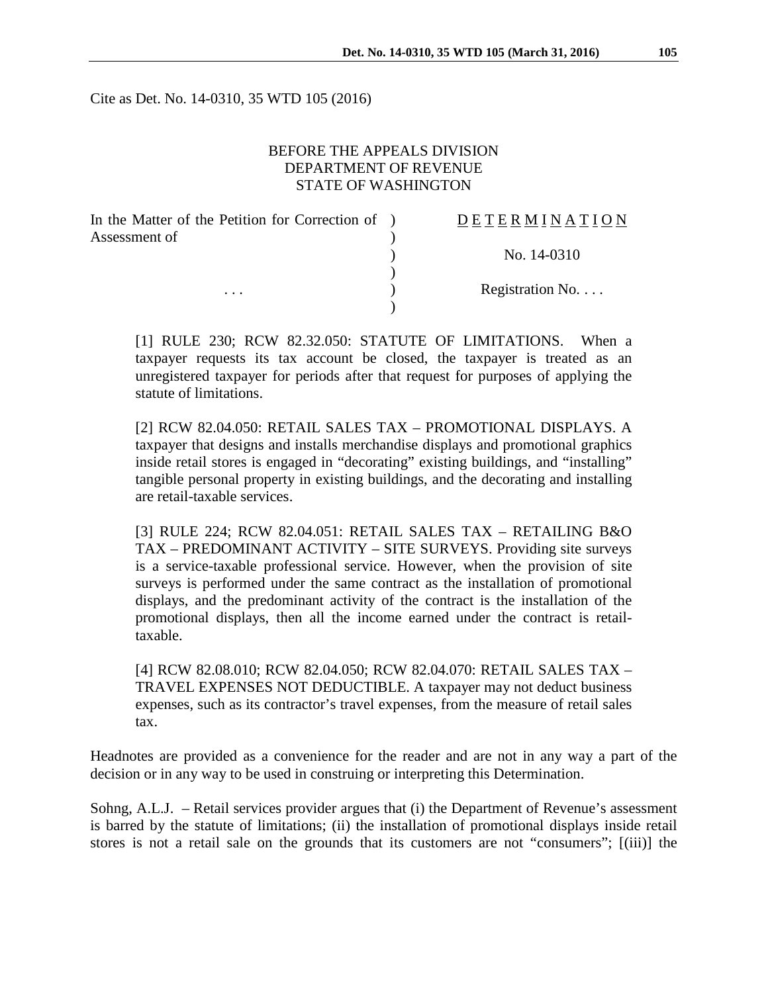Cite as Det. No. 14-0310, 35 WTD 105 (2016)

#### BEFORE THE APPEALS DIVISION DEPARTMENT OF REVENUE STATE OF WASHINGTON

| In the Matter of the Petition for Correction of ) | DETERMINATION            |
|---------------------------------------------------|--------------------------|
| Assessment of                                     |                          |
|                                                   | No. 14-0310              |
|                                                   |                          |
| $\cdots$                                          | Registration No. $\dots$ |
|                                                   |                          |

[1] RULE 230; RCW 82.32.050: STATUTE OF LIMITATIONS. When a taxpayer requests its tax account be closed, the taxpayer is treated as an unregistered taxpayer for periods after that request for purposes of applying the statute of limitations.

[2] RCW 82.04.050: RETAIL SALES TAX – PROMOTIONAL DISPLAYS. A taxpayer that designs and installs merchandise displays and promotional graphics inside retail stores is engaged in "decorating" existing buildings, and "installing" tangible personal property in existing buildings, and the decorating and installing are retail-taxable services.

[3] RULE 224; RCW 82.04.051: RETAIL SALES TAX – RETAILING B&O TAX – PREDOMINANT ACTIVITY – SITE SURVEYS. Providing site surveys is a service-taxable professional service. However, when the provision of site surveys is performed under the same contract as the installation of promotional displays, and the predominant activity of the contract is the installation of the promotional displays, then all the income earned under the contract is retailtaxable.

[4] RCW 82.08.010; RCW 82.04.050; RCW 82.04.070: RETAIL SALES TAX – TRAVEL EXPENSES NOT DEDUCTIBLE. A taxpayer may not deduct business expenses, such as its contractor's travel expenses, from the measure of retail sales tax.

Headnotes are provided as a convenience for the reader and are not in any way a part of the decision or in any way to be used in construing or interpreting this Determination.

Sohng, A.L.J. – Retail services provider argues that (i) the Department of Revenue's assessment is barred by the statute of limitations; (ii) the installation of promotional displays inside retail stores is not a retail sale on the grounds that its customers are not "consumers"; [(iii)] the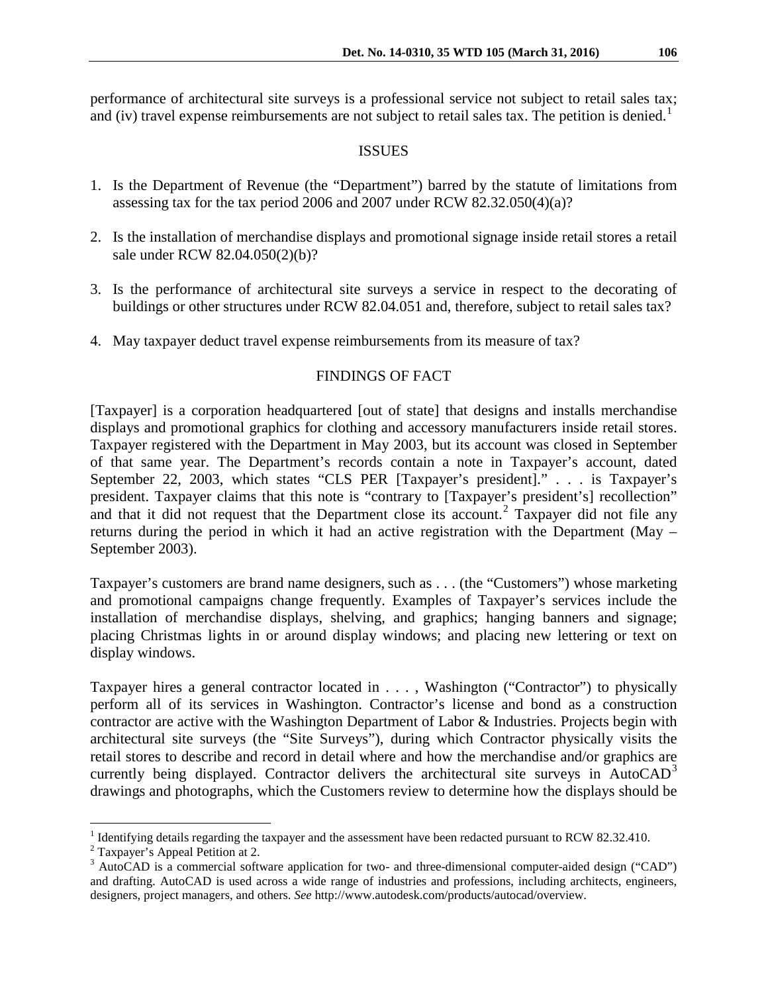performance of architectural site surveys is a professional service not subject to retail sales tax; and (iv) travel expense reimbursements are not subject to retail sales tax. The petition is denied.<sup>[1](#page-1-0)</sup>

#### ISSUES

- 1. Is the Department of Revenue (the "Department") barred by the statute of limitations from assessing tax for the tax period 2006 and 2007 under RCW 82.32.050(4)(a)?
- 2. Is the installation of merchandise displays and promotional signage inside retail stores a retail sale under RCW 82.04.050(2)(b)?
- 3. Is the performance of architectural site surveys a service in respect to the decorating of buildings or other structures under RCW 82.04.051 and, therefore, subject to retail sales tax?
- 4. May taxpayer deduct travel expense reimbursements from its measure of tax?

## FINDINGS OF FACT

[Taxpayer] is a corporation headquartered [out of state] that designs and installs merchandise displays and promotional graphics for clothing and accessory manufacturers inside retail stores. Taxpayer registered with the Department in May 2003, but its account was closed in September of that same year. The Department's records contain a note in Taxpayer's account, dated September 22, 2003, which states "CLS PER [Taxpayer's president]." . . . is Taxpayer's president. Taxpayer claims that this note is "contrary to [Taxpayer's president's] recollection" and that it did not request that the Department close its account.<sup>[2](#page-1-1)</sup> Taxpayer did not file any returns during the period in which it had an active registration with the Department (May – September 2003).

Taxpayer's customers are brand name designers, such as . . . (the "Customers") whose marketing and promotional campaigns change frequently. Examples of Taxpayer's services include the installation of merchandise displays, shelving, and graphics; hanging banners and signage; placing Christmas lights in or around display windows; and placing new lettering or text on display windows.

Taxpayer hires a general contractor located in . . . , Washington ("Contractor") to physically perform all of its services in Washington. Contractor's license and bond as a construction contractor are active with the Washington Department of Labor & Industries. Projects begin with architectural site surveys (the "Site Surveys"), during which Contractor physically visits the retail stores to describe and record in detail where and how the merchandise and/or graphics are currently being displayed. Contractor delivers the architectural site surveys in AutoCAD<sup>[3](#page-1-2)</sup> drawings and photographs, which the Customers review to determine how the displays should be

<span id="page-1-0"></span><sup>&</sup>lt;sup>1</sup> Identifying details regarding the taxpayer and the assessment have been redacted pursuant to RCW 82.32.410. <sup>2</sup> Taxpayer's Appeal Petition at 2.

<span id="page-1-1"></span>

<span id="page-1-2"></span><sup>&</sup>lt;sup>3</sup> AutoCAD is a commercial software application for two- and three-dimensional computer-aided design ("CAD") and drafting. AutoCAD is used across a wide range of industries and professions, including architects, engineers, designers, project managers, and others. *See* [http://www.autodesk.com/products/autocad/overview.](http://www.autodesk.com/products/autocad/overview)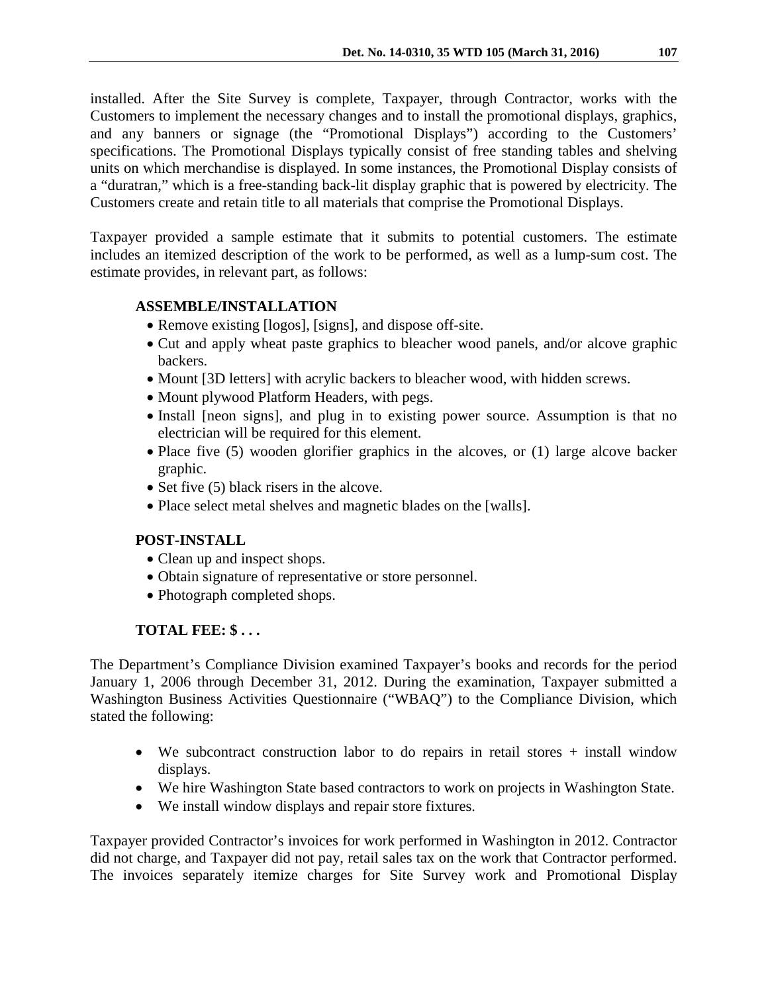installed. After the Site Survey is complete, Taxpayer, through Contractor, works with the Customers to implement the necessary changes and to install the promotional displays, graphics, and any banners or signage (the "Promotional Displays") according to the Customers' specifications. The Promotional Displays typically consist of free standing tables and shelving units on which merchandise is displayed. In some instances, the Promotional Display consists of a "duratran," which is a free-standing back-lit display graphic that is powered by electricity. The Customers create and retain title to all materials that comprise the Promotional Displays.

Taxpayer provided a sample estimate that it submits to potential customers. The estimate includes an itemized description of the work to be performed, as well as a lump-sum cost. The estimate provides, in relevant part, as follows:

## **ASSEMBLE/INSTALLATION**

- Remove existing [logos], [signs], and dispose off-site.
- Cut and apply wheat paste graphics to bleacher wood panels, and/or alcove graphic backers.
- Mount [3D letters] with acrylic backers to bleacher wood, with hidden screws.
- Mount plywood Platform Headers, with pegs.
- Install [neon signs], and plug in to existing power source. Assumption is that no electrician will be required for this element.
- Place five (5) wooden glorifier graphics in the alcoves, or (1) large alcove backer graphic.
- Set five (5) black risers in the alcove.
- Place select metal shelves and magnetic blades on the [walls].

## **POST-INSTALL**

- Clean up and inspect shops.
- Obtain signature of representative or store personnel.
- Photograph completed shops.

# **TOTAL FEE: \$ . . .**

The Department's Compliance Division examined Taxpayer's books and records for the period January 1, 2006 through December 31, 2012. During the examination, Taxpayer submitted a Washington Business Activities Questionnaire ("WBAQ") to the Compliance Division, which stated the following:

- We subcontract construction labor to do repairs in retail stores + install window displays.
- We hire Washington State based contractors to work on projects in Washington State.
- We install window displays and repair store fixtures.

Taxpayer provided Contractor's invoices for work performed in Washington in 2012. Contractor did not charge, and Taxpayer did not pay, retail sales tax on the work that Contractor performed. The invoices separately itemize charges for Site Survey work and Promotional Display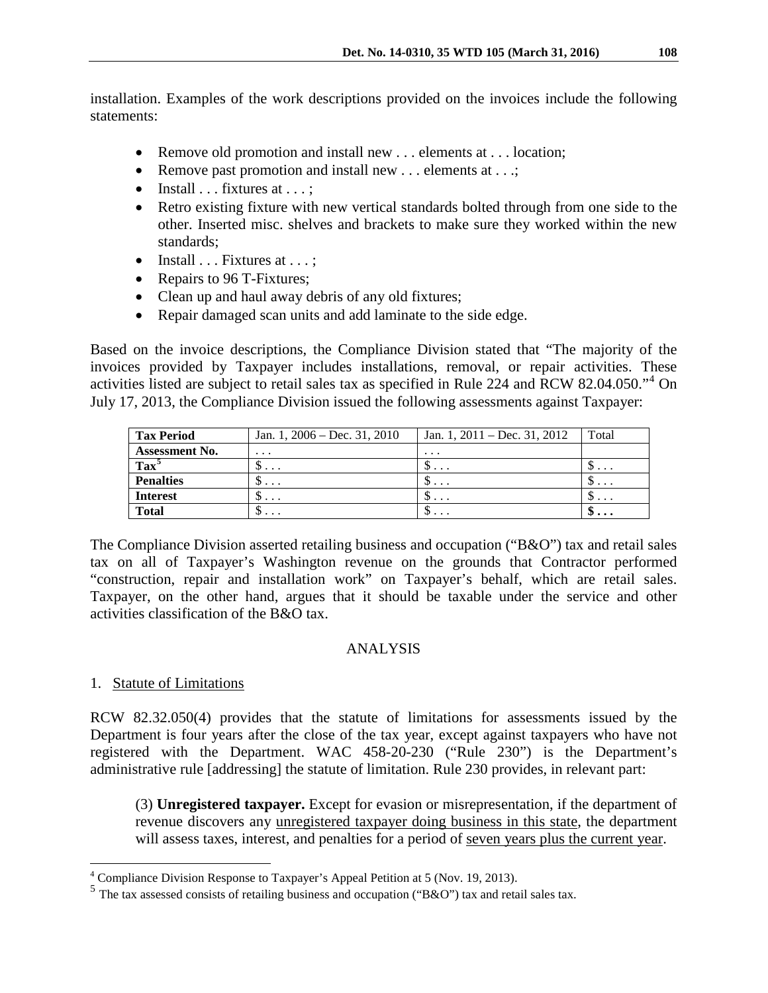installation. Examples of the work descriptions provided on the invoices include the following statements:

- Remove old promotion and install new ... elements at ... location;
- Remove past promotion and install new . . . elements at . . .;
- Install  $\ldots$  fixtures at  $\ldots$ ;
- Retro existing fixture with new vertical standards bolted through from one side to the other. Inserted misc. shelves and brackets to make sure they worked within the new standards;
- Install  $\ldots$  Fixtures at  $\ldots$ ;
- Repairs to 96 T-Fixtures;
- Clean up and haul away debris of any old fixtures;
- Repair damaged scan units and add laminate to the side edge.

Based on the invoice descriptions, the Compliance Division stated that "The majority of the invoices provided by Taxpayer includes installations, removal, or repair activities. These activities listed are subject to retail sales tax as specified in Rule 224 and RCW 82.04.050."[4](#page-3-0) On July 17, 2013, the Compliance Division issued the following assessments against Taxpayer:

| <b>Tax Period</b>     | Jan. 1, $2006 - Dec. 31, 2010$ | Jan. 1, $2011 - Dec. 31, 2012$ | Total                            |
|-----------------------|--------------------------------|--------------------------------|----------------------------------|
| <b>Assessment No.</b> | $\cdots$                       | $\cdot$                        |                                  |
| $\text{Tax}^5$        | υ                              | $\mathcal{D}$                  | $\mathcal{D}$                    |
| <b>Penalties</b>      | υ                              | $\mathcal{D}$                  | $\mathcal{D}$                    |
| <b>Interest</b>       | ◡<br>$\cdots$                  | $\mathbf{D} \cdot \mathbf{D}$  | $\mathcal{D}$                    |
| <b>Total</b>          | $\mathcal{P}$                  | $\cdots$                       | $\mathfrak{D} \cdot \cdot \cdot$ |

The Compliance Division asserted retailing business and occupation ("B&O") tax and retail sales tax on all of Taxpayer's Washington revenue on the grounds that Contractor performed "construction, repair and installation work" on Taxpayer's behalf, which are retail sales. Taxpayer, on the other hand, argues that it should be taxable under the service and other activities classification of the B&O tax.

## ANALYSIS

## 1. Statute of Limitations

RCW 82.32.050(4) provides that the statute of limitations for assessments issued by the Department is four years after the close of the tax year, except against taxpayers who have not registered with the Department. WAC 458-20-230 ("Rule 230") is the Department's administrative rule [addressing] the statute of limitation. Rule 230 provides, in relevant part:

(3) **Unregistered taxpayer.** Except for evasion or misrepresentation, if the department of revenue discovers any unregistered taxpayer doing business in this state, the department will assess taxes, interest, and penalties for a period of seven years plus the current year.

<span id="page-3-0"></span> <sup>4</sup> Compliance Division Response to Taxpayer's Appeal Petition at 5 (Nov. 19, 2013).

<span id="page-3-1"></span> $5$  The tax assessed consists of retailing business and occupation ("B&O") tax and retail sales tax.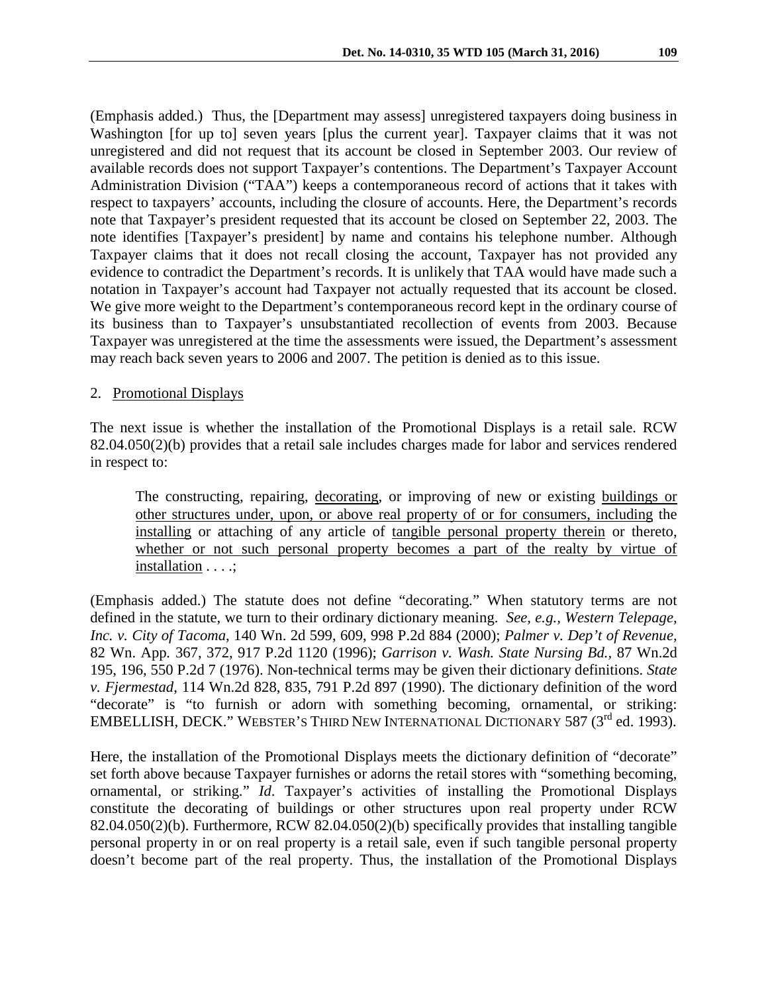(Emphasis added.) Thus, the [Department may assess] unregistered taxpayers doing business in Washington [for up to] seven years [plus the current year]. Taxpayer claims that it was not unregistered and did not request that its account be closed in September 2003. Our review of available records does not support Taxpayer's contentions. The Department's Taxpayer Account Administration Division ("TAA") keeps a contemporaneous record of actions that it takes with respect to taxpayers' accounts, including the closure of accounts. Here, the Department's records note that Taxpayer's president requested that its account be closed on September 22, 2003. The note identifies [Taxpayer's president] by name and contains his telephone number. Although Taxpayer claims that it does not recall closing the account, Taxpayer has not provided any evidence to contradict the Department's records. It is unlikely that TAA would have made such a notation in Taxpayer's account had Taxpayer not actually requested that its account be closed. We give more weight to the Department's contemporaneous record kept in the ordinary course of its business than to Taxpayer's unsubstantiated recollection of events from 2003. Because Taxpayer was unregistered at the time the assessments were issued, the Department's assessment may reach back seven years to 2006 and 2007. The petition is denied as to this issue.

#### 2. Promotional Displays

The next issue is whether the installation of the Promotional Displays is a retail sale. RCW 82.04.050(2)(b) provides that a retail sale includes charges made for labor and services rendered in respect to:

The constructing, repairing, decorating, or improving of new or existing buildings or other structures under, upon, or above real property of or for consumers, including the installing or attaching of any article of tangible personal property therein or thereto, whether or not such personal property becomes a part of the realty by virtue of installation . . . .;

(Emphasis added.) The statute does not define "decorating." When statutory terms are not defined in the statute, we turn to their ordinary dictionary meaning. *See, e.g., Western Telepage, Inc. v. City of Tacoma*, 140 Wn. 2d 599, 609, 998 P.2d 884 (2000); *Palmer v. Dep't of Revenue,*  82 Wn. App*.* 367, 372, 917 P.2d 1120 (1996); *Garrison v. Wash. State Nursing Bd.,* 87 Wn.2d 195, 196, 550 P.2d 7 (1976). Non-technical terms may be given their dictionary definitions. *State v. Fjermestad*, 114 Wn.2d 828, 835, 791 P.2d 897 (1990). The dictionary definition of the word "decorate" is "to furnish or adorn with something becoming, ornamental, or striking: EMBELLISH, DECK." WEBSTER'S THIRD NEW INTERNATIONAL DICTIONARY 587 (3<sup>rd</sup> ed. 1993).

Here, the installation of the Promotional Displays meets the dictionary definition of "decorate" set forth above because Taxpayer furnishes or adorns the retail stores with "something becoming, ornamental, or striking." *Id*. Taxpayer's activities of installing the Promotional Displays constitute the decorating of buildings or other structures upon real property under RCW 82.04.050(2)(b). Furthermore, RCW 82.04.050(2)(b) specifically provides that installing tangible personal property in or on real property is a retail sale, even if such tangible personal property doesn't become part of the real property. Thus, the installation of the Promotional Displays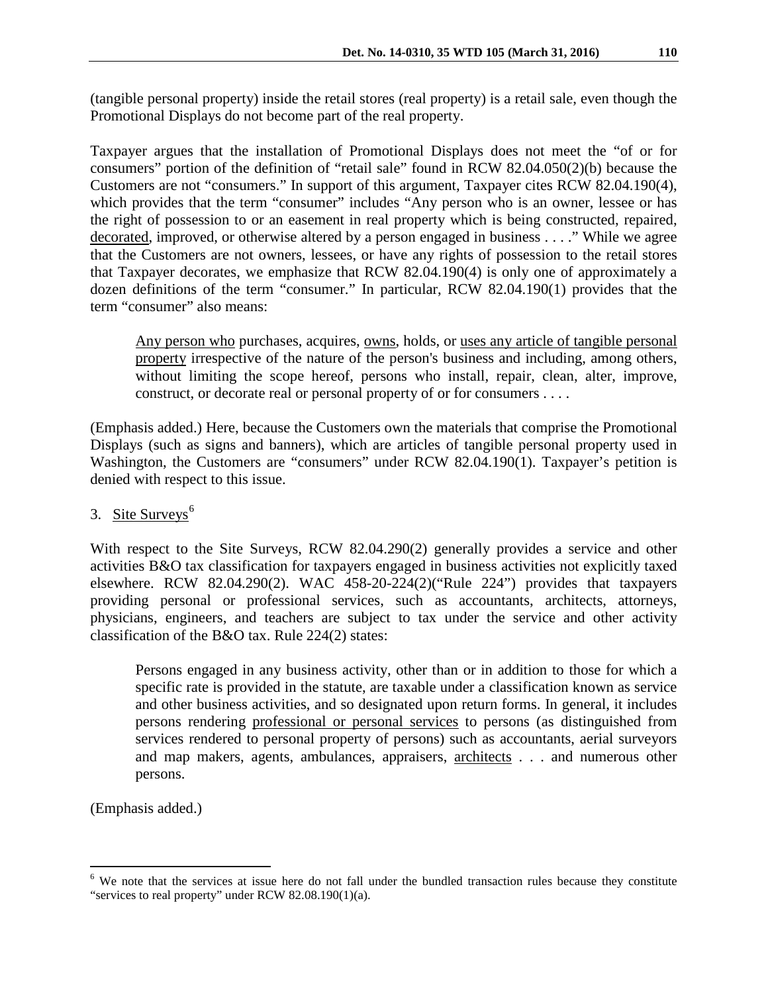(tangible personal property) inside the retail stores (real property) is a retail sale, even though the Promotional Displays do not become part of the real property.

Taxpayer argues that the installation of Promotional Displays does not meet the "of or for consumers" portion of the definition of "retail sale" found in RCW 82.04.050(2)(b) because the Customers are not "consumers." In support of this argument, Taxpayer cites RCW 82.04.190(4), which provides that the term "consumer" includes "Any person who is an owner, lessee or has the right of possession to or an easement in real property which is being constructed, repaired, decorated, improved, or otherwise altered by a person engaged in business . . . ." While we agree that the Customers are not owners, lessees, or have any rights of possession to the retail stores that Taxpayer decorates, we emphasize that RCW 82.04.190(4) is only one of approximately a dozen definitions of the term "consumer." In particular, RCW 82.04.190(1) provides that the term "consumer" also means:

Any person who purchases, acquires, <u>owns</u>, holds, or <u>uses any article of tangible personal</u> property irrespective of the nature of the person's business and including, among others, without limiting the scope hereof, persons who install, repair, clean, alter, improve, construct, or decorate real or personal property of or for consumers . . . .

(Emphasis added.) Here, because the Customers own the materials that comprise the Promotional Displays (such as signs and banners), which are articles of tangible personal property used in Washington, the Customers are "consumers" under RCW 82.04.190(1). Taxpayer's petition is denied with respect to this issue.

## 3. Site Surveys $<sup>6</sup>$  $<sup>6</sup>$  $<sup>6</sup>$ </sup>

With respect to the Site Surveys, RCW 82.04.290(2) generally provides a service and other activities B&O tax classification for taxpayers engaged in business activities not explicitly taxed elsewhere. RCW 82.04.290(2). WAC 458-20-224(2)("Rule 224") provides that taxpayers providing personal or professional services, such as accountants, architects, attorneys, physicians, engineers, and teachers are subject to tax under the service and other activity classification of the B&O tax. Rule 224(2) states:

Persons engaged in any business activity, other than or in addition to those for which a specific rate is provided in the statute, are taxable under a classification known as service and other business activities, and so designated upon return forms. In general, it includes persons rendering professional or personal services to persons (as distinguished from services rendered to personal property of persons) such as accountants, aerial surveyors and map makers, agents, ambulances, appraisers, architects . . . and numerous other persons.

(Emphasis added.)

<span id="page-5-0"></span><sup>&</sup>lt;sup>6</sup> We note that the services at issue here do not fall under the bundled transaction rules because they constitute "services to real property" under RCW 82.08.190(1)(a).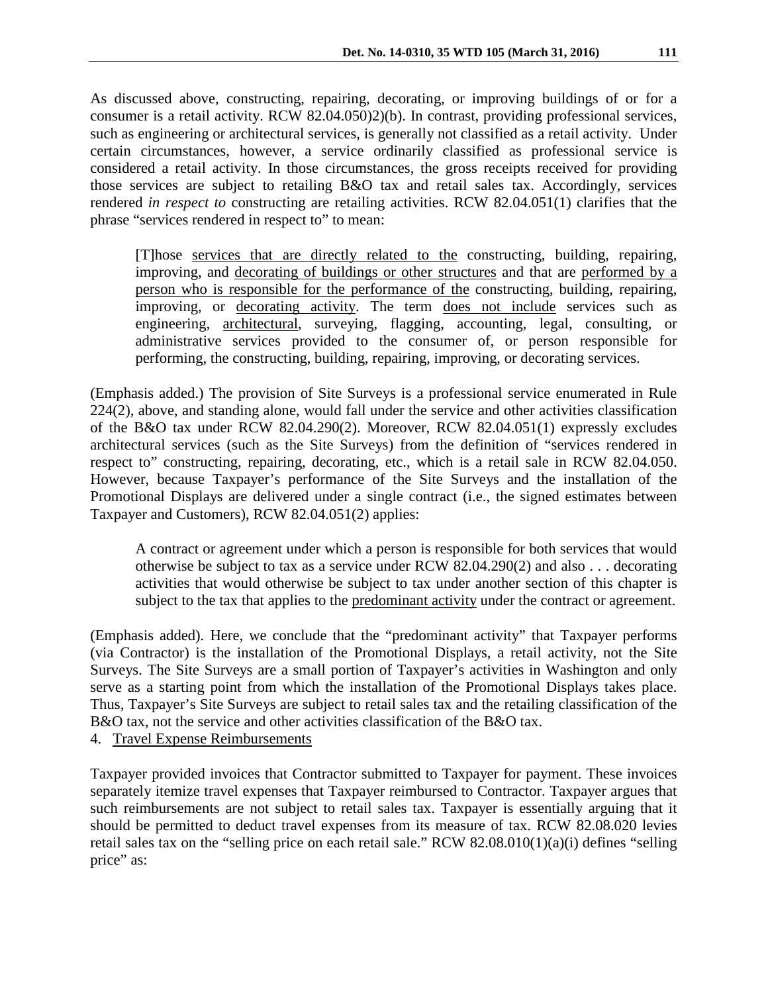As discussed above, constructing, repairing, decorating, or improving buildings of or for a consumer is a retail activity. RCW 82.04.050)2)(b). In contrast, providing professional services, such as engineering or architectural services, is generally not classified as a retail activity. Under certain circumstances, however, a service ordinarily classified as professional service is considered a retail activity. In those circumstances, the gross receipts received for providing those services are subject to retailing B&O tax and retail sales tax. Accordingly, services rendered *in respect to* constructing are retailing activities. RCW 82.04.051(1) clarifies that the phrase "services rendered in respect to" to mean:

[T]hose services that are directly related to the constructing, building, repairing, improving, and decorating of buildings or other structures and that are performed by a person who is responsible for the performance of the constructing, building, repairing, improving, or decorating activity. The term does not include services such as engineering, architectural, surveying, flagging, accounting, legal, consulting, or administrative services provided to the consumer of, or person responsible for performing, the constructing, building, repairing, improving, or decorating services.

(Emphasis added.) The provision of Site Surveys is a professional service enumerated in Rule 224(2), above, and standing alone, would fall under the service and other activities classification of the B&O tax under RCW 82.04.290(2). Moreover, RCW 82.04.051(1) expressly excludes architectural services (such as the Site Surveys) from the definition of "services rendered in respect to" constructing, repairing, decorating, etc., which is a retail sale in RCW 82.04.050. However, because Taxpayer's performance of the Site Surveys and the installation of the Promotional Displays are delivered under a single contract (i.e., the signed estimates between Taxpayer and Customers), RCW 82.04.051(2) applies:

A contract or agreement under which a person is responsible for both services that would otherwise be subject to tax as a service under RCW [82.04.290\(](http://app.leg.wa.gov/rcw/default.aspx?cite=82.04.290)2) and also . . . decorating activities that would otherwise be subject to tax under another section of this chapter is subject to the tax that applies to the predominant activity under the contract or agreement.

(Emphasis added). Here, we conclude that the "predominant activity" that Taxpayer performs (via Contractor) is the installation of the Promotional Displays, a retail activity, not the Site Surveys. The Site Surveys are a small portion of Taxpayer's activities in Washington and only serve as a starting point from which the installation of the Promotional Displays takes place. Thus, Taxpayer's Site Surveys are subject to retail sales tax and the retailing classification of the B&O tax, not the service and other activities classification of the B&O tax.

4. Travel Expense Reimbursements

Taxpayer provided invoices that Contractor submitted to Taxpayer for payment. These invoices separately itemize travel expenses that Taxpayer reimbursed to Contractor. Taxpayer argues that such reimbursements are not subject to retail sales tax. Taxpayer is essentially arguing that it should be permitted to deduct travel expenses from its measure of tax. RCW 82.08.020 levies retail sales tax on the "selling price on each retail sale." RCW 82.08.010(1)(a)(i) defines "selling price" as: